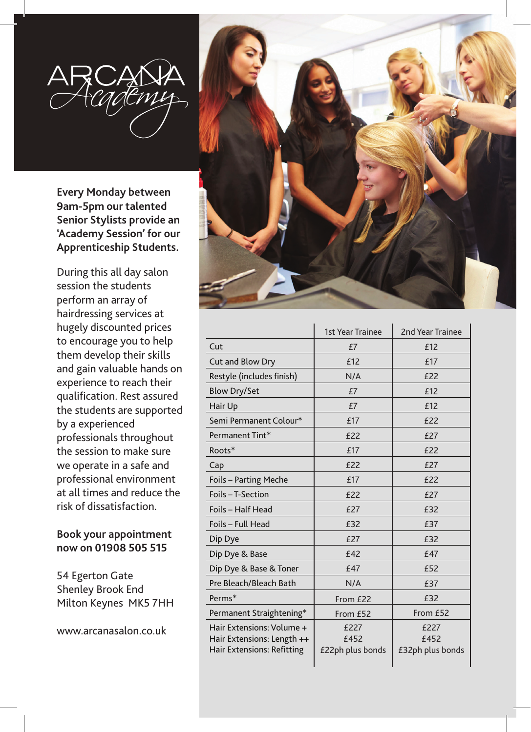

**Every Monday between 9am-5pm our talented Senior Stylists provide an 'Academy Session' for our Apprenticeship Students.**

During this all day salon session the students perform an array of hairdressing services at hugely discounted prices to encourage you to help them develop their skills and gain valuable hands on experience to reach their qualification. Rest assured the students are supported by a experienced professionals throughout the session to make sure we operate in a safe and professional environment at all times and reduce the risk of dissatisfaction.

## **Book your appointment now on 01908 505 515**

54 Egerton Gate Shenley Brook End Milton Keynes MK5 7HH

www.arcanasalon.co.uk



|                            | <b>1st Year Trainee</b> | <b>2nd Year Trainee</b> |
|----------------------------|-------------------------|-------------------------|
| Cut                        | £7                      | £12                     |
| Cut and Blow Dry           | £12                     | £17                     |
| Restyle (includes finish)  | N/A                     | £22                     |
| <b>Blow Dry/Set</b>        | £7                      | £12                     |
| Hair Up                    | £7                      | £12                     |
| Semi Permanent Colour*     | £17                     | £22                     |
| Permanent Tint*            | £22                     | £27                     |
| Roots*                     | £17                     | £22                     |
| Cap                        | £22                     | £27                     |
| Foils - Parting Meche      | £17                     | £22                     |
| Foils - T-Section          | £22                     | £27                     |
| Foils - Half Head          | £27                     | £32                     |
| Foils - Full Head          | £32                     | £37                     |
| Dip Dye                    | £27                     | £32                     |
| Dip Dye & Base             | £42                     | £47                     |
| Dip Dye & Base & Toner     | £47                     | £52                     |
| Pre Bleach/Bleach Bath     | N/A                     | £37                     |
| Perms*                     | From £22                | £32                     |
| Permanent Straightening*   | From £52                | From £52                |
| Hair Extensions: Volume +  | £227                    | £227                    |
| Hair Extensions: Length ++ | £452                    | £452                    |
| Hair Extensions: Refitting | £22ph plus bonds        | £32ph plus bonds        |
|                            |                         |                         |